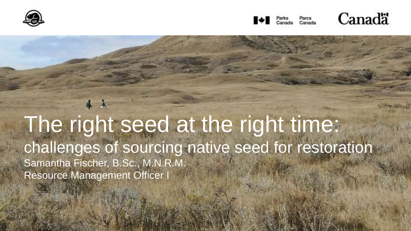



Canadä

9

The right seed at the right time: challenges of sourcing native seed for restoration Samantha Fischer, B.Sc., M.N.R.M. Resource Management Officer I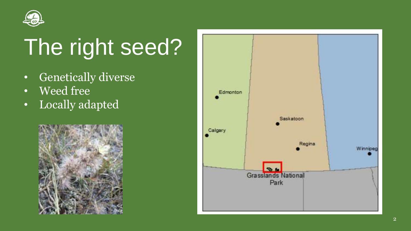

### The right seed?

- Genetically diverse
- Weed free
- Locally adapted



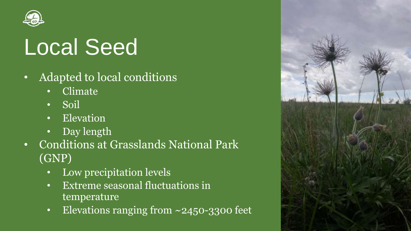

#### Local Seed

- Adapted to local conditions
	- Climate
	- Soil
	- Elevation
	- Day length
- Conditions at Grasslands National Park (GNP)
	- Low precipitation levels
	- Extreme seasonal fluctuations in temperature
	- Elevations ranging from ~2450-3300 feet

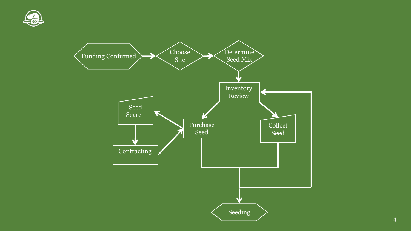

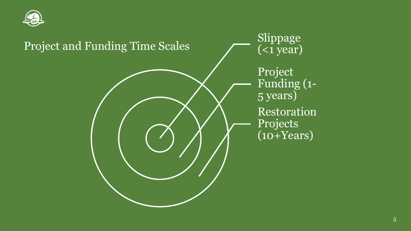

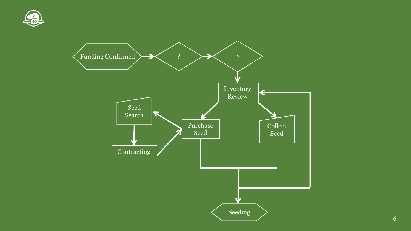

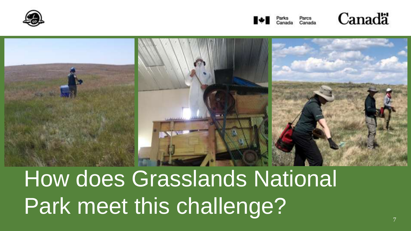







# How does Grasslands National Park meet this challenge?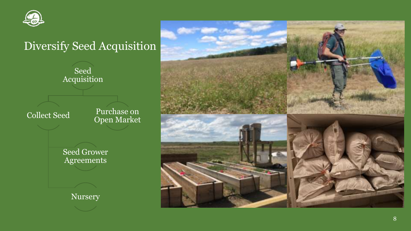

#### Diversify Seed Acquisition

Seed Acquisition

Collect Seed

Purchase on Open Market

Seed Grower Agreements

Nursery

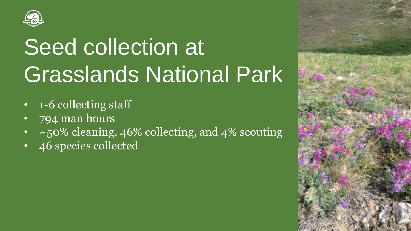

# Seed collection at Grasslands National Park

- 1-6 collecting staff
- 794 man hours
- $\sim$  50% cleaning, 46% collecting, and 4% scouting
- 46 species collected

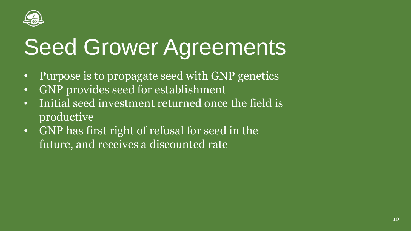

## **Seed Grower Agreements**

- Purpose is to propagate seed with GNP genetics
- GNP provides seed for establishment
- Initial seed investment returned once the field is productive
- GNP has first right of refusal for seed in the future, and receives a discounted rate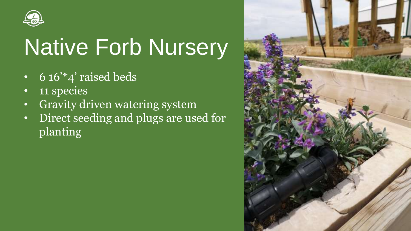

## Native Forb Nursery

- 6  $16''$ <sup>\*</sup>4' raised beds
- 11 species
- Gravity driven watering system
- Direct seeding and plugs are used for planting

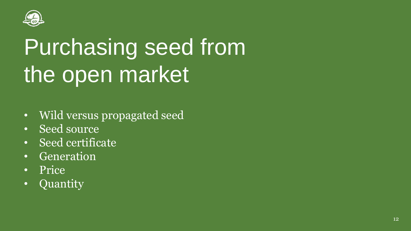

## Purchasing seed from the open market

- Wild versus propagated seed
- Seed source
- Seed certificate
- Generation
- Price
- Quantity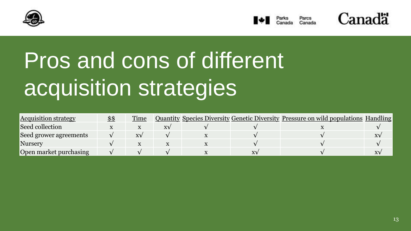





## Pros and cons of different acquisition strategies

| <b>Acquisition strategy</b> | $$^{\$}$ | Time       |    |  | <b>Quantity Species Diversity Genetic Diversity Pressure on wild populations Handling</b> |  |
|-----------------------------|----------|------------|----|--|-------------------------------------------------------------------------------------------|--|
| Seed collection             |          |            | XV |  |                                                                                           |  |
| Seed grower agreements      |          | $X\lambda$ |    |  |                                                                                           |  |
| Nursery                     |          |            |    |  |                                                                                           |  |
| Open market purchasing      |          |            |    |  |                                                                                           |  |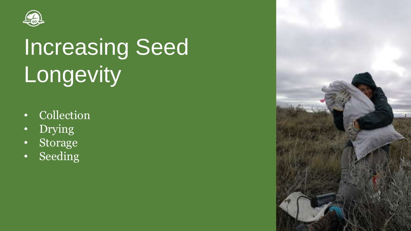

# Increasing Seed Longevity

- Collection
- Drying
- Storage
- Seeding

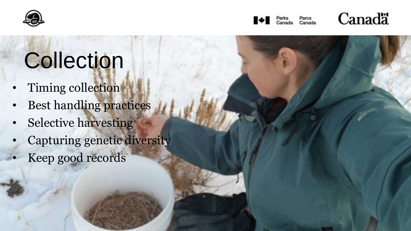





#### **Collection**

- Timing collection
- Best handling practices
- Selective harvesting
- Capturing genetic diversity
- Keep good records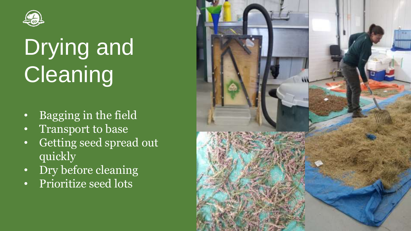

# Drying and **Cleaning**

- Bagging in the field
- Transport to base
- Getting seed spread out quickly
- Dry before cleaning
- Prioritize seed lots

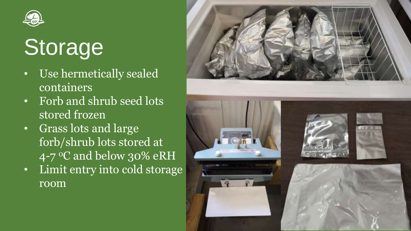

## **Storage**

- Use hermetically sealed containers
- Forb and shrub seed lots stored frozen
- Grass lots and large forb/shrub lots stored at  $4$ -7 <sup>o</sup>C and below 30% eRH
- Limit entry into cold storage room

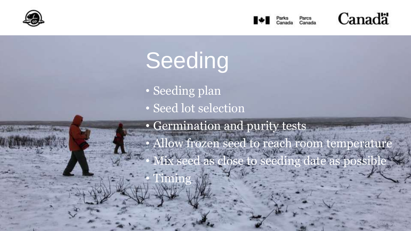





18



- Seeding plan
- Seed lot selection

• Germination and purity tests • Allow frozen seed to reach room temperature Iix seed as close to seeding date as possib • Timing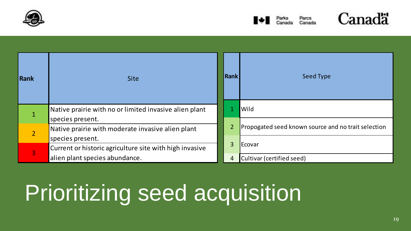





| Rank          | <b>Site</b>                                                                 | <b>Rank</b>    | Seed Type                                           |
|---------------|-----------------------------------------------------------------------------|----------------|-----------------------------------------------------|
|               | Native prairie with no or limited invasive alien plant                      |                | Wild                                                |
| $\mathcal{P}$ | species present.<br>Native prairie with moderate invasive alien plant       | $\overline{2}$ | Propogated seed known source and no trait selection |
| 3             | species present.<br>Current or historic agriculture site with high invasive | 3              | Ecovar                                              |
|               | alien plant species abundance.                                              | 4              | Cultivar (certified seed)                           |

## **Prioritizing seed acquisition**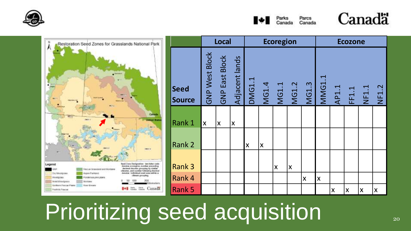







|                |                       | <b>Local</b>          |                           | <b>Ecoregion</b>   |                           |                |              |                    | <b>Ecozone</b>          |       |       |                    |                    |  |
|----------------|-----------------------|-----------------------|---------------------------|--------------------|---------------------------|----------------|--------------|--------------------|-------------------------|-------|-------|--------------------|--------------------|--|
| Seed<br>Source | <b>GNP West Block</b> | <b>GNP East Block</b> | Adjacent lands            | <b>DMG1.1</b>      | MG1.4                     | MG1.1          | <b>MG1.2</b> | <b>MG1.3</b>       | <b>MMG1.1</b>           | AP1.1 | FF1.1 | NF1.1              | <b>NF1.2</b>       |  |
| Rank 1         | X                     | X                     | $\boldsymbol{\mathsf{X}}$ |                    |                           |                |              |                    |                         |       |       |                    |                    |  |
|                |                       |                       |                           |                    |                           |                |              |                    |                         |       |       |                    |                    |  |
| Rank 2         |                       |                       |                           | $\pmb{\mathsf{X}}$ | $\boldsymbol{\mathsf{X}}$ |                |              |                    |                         |       |       |                    |                    |  |
| Rank 3         |                       |                       |                           |                    |                           | $\pmb{\times}$ | X            |                    |                         |       |       |                    |                    |  |
| Rank 4         |                       |                       |                           |                    |                           |                |              | $\pmb{\mathsf{X}}$ | $\mathsf{\overline{X}}$ |       |       |                    |                    |  |
| Rank 5         |                       |                       |                           |                    |                           |                |              |                    |                         | X     | X     | $\pmb{\mathsf{X}}$ | $\pmb{\mathsf{X}}$ |  |

#### Prioritizing seed acquisition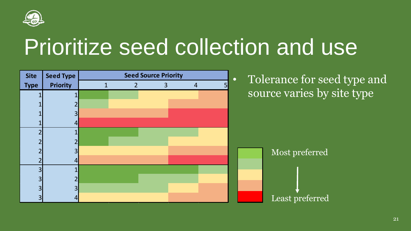

#### Prioritize seed collection and use